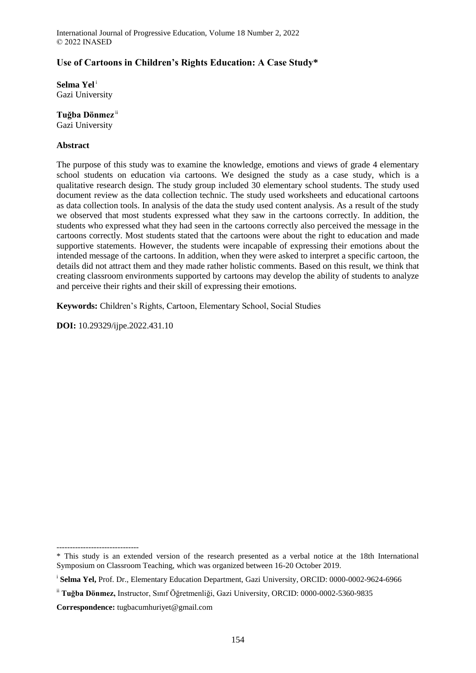# **Use of Cartoons in Children's Rights Education: A Case Study\***

**Selma Yel**<sup>i</sup> Gazi University

### **Tuğba Dönmez** ii

Gazi University

### **Abstract**

The purpose of this study was to examine the knowledge, emotions and views of grade 4 elementary school students on education via cartoons. We designed the study as a case study, which is a qualitative research design. The study group included 30 elementary school students. The study used document review as the data collection technic. The study used worksheets and educational cartoons as data collection tools. In analysis of the data the study used content analysis. As a result of the study we observed that most students expressed what they saw in the cartoons correctly. In addition, the students who expressed what they had seen in the cartoons correctly also perceived the message in the cartoons correctly. Most students stated that the cartoons were about the right to education and made supportive statements. However, the students were incapable of expressing their emotions about the intended message of the cartoons. In addition, when they were asked to interpret a specific cartoon, the details did not attract them and they made rather holistic comments. Based on this result, we think that creating classroom environments supported by cartoons may develop the ability of students to analyze and perceive their rights and their skill of expressing their emotions.

**Keywords:** Children's Rights, Cartoon, Elementary School, Social Studies

**DOI:** 10.29329/ijpe.2022.431.10

<sup>-------------------------------</sup>

<sup>\*</sup> This study is an extended version of the research presented as a verbal notice at the 18th International Symposium on Classroom Teaching, which was organized between 16-20 October 2019.

<sup>&</sup>lt;sup>i</sup> Selma Yel, Prof. Dr., Elementary Education Department, Gazi University, ORCID: 0000-0002-9624-6966

ii **Tuğba Dönmez,** Instructor, Sınıf Öğretmenliği, Gazi University, ORCID: 0000-0002-5360-9835

**Correspondence:** tugbacumhuriyet@gmail.com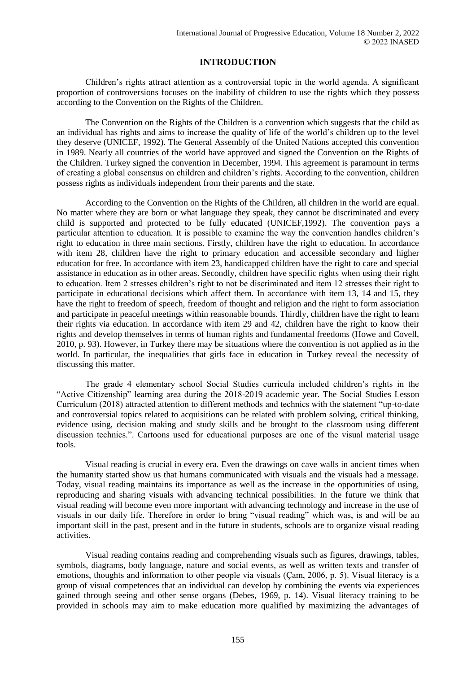# **INTRODUCTION**

Children's rights attract attention as a controversial topic in the world agenda. A significant proportion of controversions focuses on the inability of children to use the rights which they possess according to the Convention on the Rights of the Children.

The Convention on the Rights of the Children is a convention which suggests that the child as an individual has rights and aims to increase the quality of life of the world's children up to the level they deserve (UNICEF, 1992). The General Assembly of the United Nations accepted this convention in 1989. Nearly all countries of the world have approved and signed the Convention on the Rights of the Children. Turkey signed the convention in December, 1994. This agreement is paramount in terms of creating a global consensus on children and children's rights. According to the convention, children possess rights as individuals independent from their parents and the state.

According to the Convention on the Rights of the Children, all children in the world are equal. No matter where they are born or what language they speak, they cannot be discriminated and every child is supported and protected to be fully educated (UNICEF,1992). The convention pays a particular attention to education. It is possible to examine the way the convention handles children's right to education in three main sections. Firstly, children have the right to education. In accordance with item 28, children have the right to primary education and accessible secondary and higher education for free. In accordance with item 23, handicapped children have the right to care and special assistance in education as in other areas. Secondly, children have specific rights when using their right to education. Item 2 stresses children's right to not be discriminated and item 12 stresses their right to participate in educational decisions which affect them. In accordance with item 13, 14 and 15, they have the right to freedom of speech, freedom of thought and religion and the right to form association and participate in peaceful meetings within reasonable bounds. Thirdly, children have the right to learn their rights via education. In accordance with item 29 and 42, children have the right to know their rights and develop themselves in terms of human rights and fundamental freedoms (Howe and Covell, 2010, p. 93). However, in Turkey there may be situations where the convention is not applied as in the world. In particular, the inequalities that girls face in education in Turkey reveal the necessity of discussing this matter.

The grade 4 elementary school Social Studies curricula included children's rights in the "Active Citizenship" learning area during the 2018-2019 academic year. The Social Studies Lesson Curriculum (2018) attracted attention to different methods and technics with the statement "up-to-date and controversial topics related to acquisitions can be related with problem solving, critical thinking, evidence using, decision making and study skills and be brought to the classroom using different discussion technics.". Cartoons used for educational purposes are one of the visual material usage tools.

Visual reading is crucial in every era. Even the drawings on cave walls in ancient times when the humanity started show us that humans communicated with visuals and the visuals had a message. Today, visual reading maintains its importance as well as the increase in the opportunities of using, reproducing and sharing visuals with advancing technical possibilities. In the future we think that visual reading will become even more important with advancing technology and increase in the use of visuals in our daily life. Therefore in order to bring "visual reading" which was, is and will be an important skill in the past, present and in the future in students, schools are to organize visual reading activities.

Visual reading contains reading and comprehending visuals such as figures, drawings, tables, symbols, diagrams, body language, nature and social events, as well as written texts and transfer of emotions, thoughts and information to other people via visuals (Çam, 2006, p. 5). Visual literacy is a group of visual competences that an individual can develop by combining the events via experiences gained through seeing and other sense organs (Debes, 1969, p. 14). Visual literacy training to be provided in schools may aim to make education more qualified by maximizing the advantages of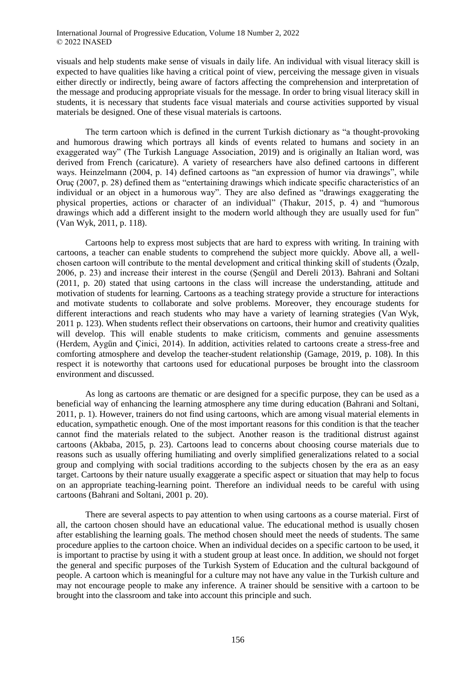visuals and help students make sense of visuals in daily life. An individual with visual literacy skill is expected to have qualities like having a critical point of view, perceiving the message given in visuals either directly or indirectly, being aware of factors affecting the comprehension and interpretation of the message and producing appropriate visuals for the message. In order to bring visual literacy skill in students, it is necessary that students face visual materials and course activities supported by visual materials be designed. One of these visual materials is cartoons.

The term cartoon which is defined in the current Turkish dictionary as "a thought-provoking and humorous drawing which portrays all kinds of events related to humans and society in an exaggerated way" (The Turkish Language Association, 2019) and is originally an Italian word, was derived from French (caricature). A variety of researchers have also defined cartoons in different ways. Heinzelmann (2004, p. 14) defined cartoons as "an expression of humor via drawings", while Oruç (2007, p. 28) defined them as "entertaining drawings which indicate specific characteristics of an individual or an object in a humorous way". They are also defined as "drawings exaggerating the physical properties, actions or character of an individual" (Thakur, 2015, p. 4) and "humorous drawings which add a different insight to the modern world although they are usually used for fun" (Van Wyk, 2011, p. 118).

Cartoons help to express most subjects that are hard to express with writing. In training with cartoons, a teacher can enable students to comprehend the subject more quickly. Above all, a wellchosen cartoon will contribute to the mental development and critical thinking skill of students (Özalp, 2006, p. 23) and increase their interest in the course (Şengül and Dereli 2013). Bahrani and Soltani (2011, p. 20) stated that using cartoons in the class will increase the understanding, attitude and motivation of students for learning. Cartoons as a teaching strategy provide a structure for interactions and motivate students to collaborate and solve problems. Moreover, they encourage students for different interactions and reach students who may have a variety of learning strategies (Van Wyk, 2011 p. 123). When students reflect their observations on cartoons, their humor and creativity qualities will develop. This will enable students to make criticism, comments and genuine assessments (Herdem, Aygün and Çinici, 2014). In addition, activities related to cartoons create a stress-free and comforting atmosphere and develop the teacher-student relationship (Gamage, 2019, p. 108). In this respect it is noteworthy that cartoons used for educational purposes be brought into the classroom environment and discussed.

As long as cartoons are thematic or are designed for a specific purpose, they can be used as a beneficial way of enhancing the learning atmosphere any time during education (Bahrani and Soltani, 2011, p. 1). However, trainers do not find using cartoons, which are among visual material elements in education, sympathetic enough. One of the most important reasons for this condition is that the teacher cannot find the materials related to the subject. Another reason is the traditional distrust against cartoons (Akbaba, 2015, p. 23). Cartoons lead to concerns about choosing course materials due to reasons such as usually offering humiliating and overly simplified generalizations related to a social group and complying with social traditions according to the subjects chosen by the era as an easy target. Cartoons by their nature usually exaggerate a specific aspect or situation that may help to focus on an appropriate teaching-learning point. Therefore an individual needs to be careful with using cartoons (Bahrani and Soltani, 2001 p. 20).

There are several aspects to pay attention to when using cartoons as a course material. First of all, the cartoon chosen should have an educational value. The educational method is usually chosen after establishing the learning goals. The method chosen should meet the needs of students. The same procedure applies to the cartoon choice. When an individual decides on a specific cartoon to be used, it is important to practise by using it with a student group at least once. In addition, we should not forget the general and specific purposes of the Turkish System of Education and the cultural backgound of people. A cartoon which is meaningful for a culture may not have any value in the Turkish culture and may not encourage people to make any inference. A trainer should be sensitive with a cartoon to be brought into the classroom and take into account this principle and such.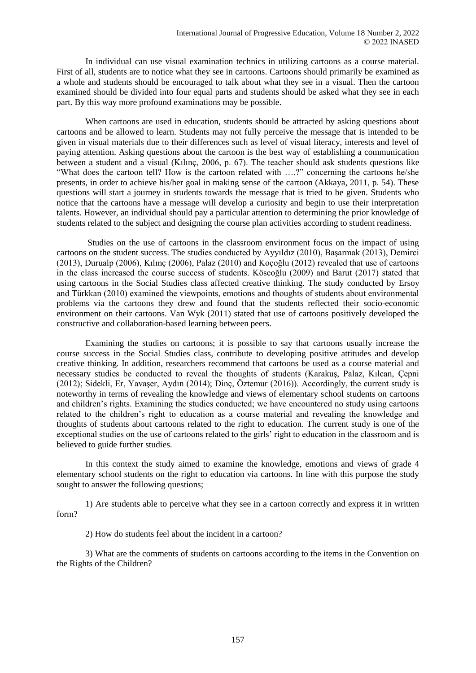In individual can use visual examination technics in utilizing cartoons as a course material. First of all, students are to notice what they see in cartoons. Cartoons should primarily be examined as a whole and students should be encouraged to talk about what they see in a visual. Then the cartoon examined should be divided into four equal parts and students should be asked what they see in each part. By this way more profound examinations may be possible.

When cartoons are used in education, students should be attracted by asking questions about cartoons and be allowed to learn. Students may not fully perceive the message that is intended to be given in visual materials due to their differences such as level of visual literacy, interests and level of paying attention. Asking questions about the cartoon is the best way of establishing a communication between a student and a visual (Kılınç, 2006, p. 67). The teacher should ask students questions like "What does the cartoon tell? How is the cartoon related with ….?" concerning the cartoons he/she presents, in order to achieve his/her goal in making sense of the cartoon (Akkaya, 2011, p. 54). These questions will start a journey in students towards the message that is tried to be given. Students who notice that the cartoons have a message will develop a curiosity and begin to use their interpretation talents. However, an individual should pay a particular attention to determining the prior knowledge of students related to the subject and designing the course plan activities according to student readiness.

Studies on the use of cartoons in the classroom environment focus on the impact of using cartoons on the student success. The studies conducted by Ayyıldız (2010), Başarmak (2013), Demirci (2013), Durualp (2006), Kılınç (2006), Palaz (2010) and Koçoğlu (2012) revealed that use of cartoons in the class increased the course success of students. Köseoğlu (2009) and Barut (2017) stated that using cartoons in the Social Studies class affected creative thinking. The study conducted by Ersoy and Türkkan (2010) examined the viewpoints, emotions and thoughts of students about environmental problems via the cartoons they drew and found that the students reflected their socio-economic environment on their cartoons. Van Wyk (2011) stated that use of cartoons positively developed the constructive and collaboration-based learning between peers.

Examining the studies on cartoons; it is possible to say that cartoons usually increase the course success in the Social Studies class, contribute to developing positive attitudes and develop creative thinking. In addition, researchers recommend that cartoons be used as a course material and necessary studies be conducted to reveal the thoughts of students (Karakuş, Palaz, Kılcan, Çepni (2012); Sidekli, Er, Yavaşer, Aydın (2014); Dinç, Öztemur (2016)). Accordingly, the current study is noteworthy in terms of revealing the knowledge and views of elementary school students on cartoons and children's rights. Examining the studies conducted; we have encountered no study using cartoons related to the children's right to education as a course material and revealing the knowledge and thoughts of students about cartoons related to the right to education. The current study is one of the exceptional studies on the use of cartoons related to the girls' right to education in the classroom and is believed to guide further studies.

In this context the study aimed to examine the knowledge, emotions and views of grade 4 elementary school students on the right to education via cartoons. In line with this purpose the study sought to answer the following questions;

1) Are students able to perceive what they see in a cartoon correctly and express it in written form?

2) How do students feel about the incident in a cartoon?

3) What are the comments of students on cartoons according to the items in the Convention on the Rights of the Children?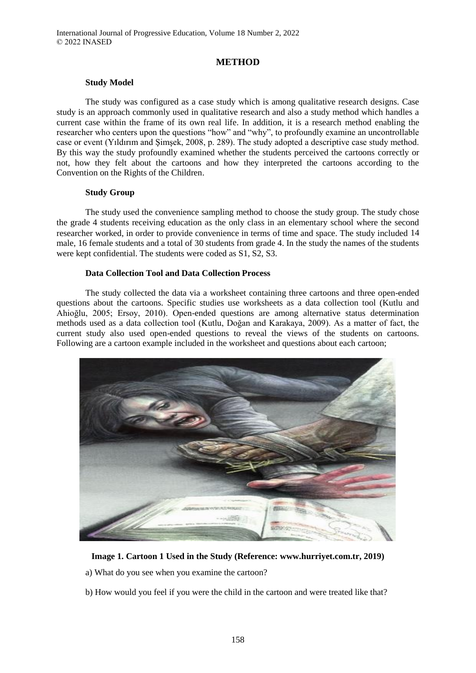### **METHOD**

#### **Study Model**

The study was configured as a case study which is among qualitative research designs. Case study is an approach commonly used in qualitative research and also a study method which handles a current case within the frame of its own real life. In addition, it is a research method enabling the researcher who centers upon the questions "how" and "why", to profoundly examine an uncontrollable case or event (Yıldırım and Şimşek, 2008, p. 289). The study adopted a descriptive case study method. By this way the study profoundly examined whether the students perceived the cartoons correctly or not, how they felt about the cartoons and how they interpreted the cartoons according to the Convention on the Rights of the Children.

#### **Study Group**

The study used the convenience sampling method to choose the study group. The study chose the grade 4 students receiving education as the only class in an elementary school where the second researcher worked, in order to provide convenience in terms of time and space. The study included 14 male, 16 female students and a total of 30 students from grade 4. In the study the names of the students were kept confidential. The students were coded as S1, S2, S3.

#### **Data Collection Tool and Data Collection Process**

The study collected the data via a worksheet containing three cartoons and three open-ended questions about the cartoons. Specific studies use worksheets as a data collection tool (Kutlu and Ahioğlu, 2005; Ersoy, 2010). Open-ended questions are among alternative status determination methods used as a data collection tool (Kutlu, Doğan and Karakaya, 2009). As a matter of fact, the current study also used open-ended questions to reveal the views of the students on cartoons. Following are a cartoon example included in the worksheet and questions about each cartoon;



### **Image 1. Cartoon 1 Used in the Study (Reference: www.hurriyet.com.tr, 2019)**

a) What do you see when you examine the cartoon?

b) How would you feel if you were the child in the cartoon and were treated like that?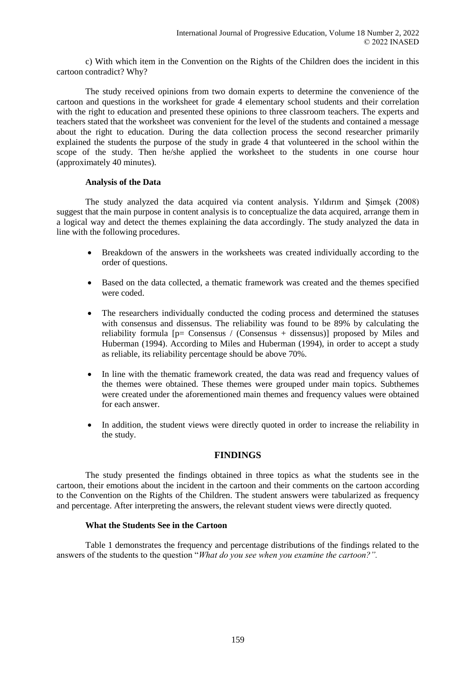c) With which item in the Convention on the Rights of the Children does the incident in this cartoon contradict? Why?

The study received opinions from two domain experts to determine the convenience of the cartoon and questions in the worksheet for grade 4 elementary school students and their correlation with the right to education and presented these opinions to three classroom teachers. The experts and teachers stated that the worksheet was convenient for the level of the students and contained a message about the right to education. During the data collection process the second researcher primarily explained the students the purpose of the study in grade 4 that volunteered in the school within the scope of the study. Then he/she applied the worksheet to the students in one course hour (approximately 40 minutes).

### **Analysis of the Data**

The study analyzed the data acquired via content analysis. Yıldırım and Şimşek (2008) suggest that the main purpose in content analysis is to conceptualize the data acquired, arrange them in a logical way and detect the themes explaining the data accordingly. The study analyzed the data in line with the following procedures.

- Breakdown of the answers in the worksheets was created individually according to the order of questions.
- Based on the data collected, a thematic framework was created and the themes specified were coded.
- The researchers individually conducted the coding process and determined the statuses with consensus and dissensus. The reliability was found to be 89% by calculating the reliability formula  $[p=$  Consensus / (Consensus + dissensus)] proposed by Miles and Huberman (1994). According to Miles and Huberman (1994), in order to accept a study as reliable, its reliability percentage should be above 70%.
- In line with the thematic framework created, the data was read and frequency values of the themes were obtained. These themes were grouped under main topics. Subthemes were created under the aforementioned main themes and frequency values were obtained for each answer.
- In addition, the student views were directly quoted in order to increase the reliability in the study.

## **FINDINGS**

The study presented the findings obtained in three topics as what the students see in the cartoon, their emotions about the incident in the cartoon and their comments on the cartoon according to the Convention on the Rights of the Children. The student answers were tabularized as frequency and percentage. After interpreting the answers, the relevant student views were directly quoted.

### **What the Students See in the Cartoon**

Table 1 demonstrates the frequency and percentage distributions of the findings related to the answers of the students to the question "*What do you see when you examine the cartoon?".*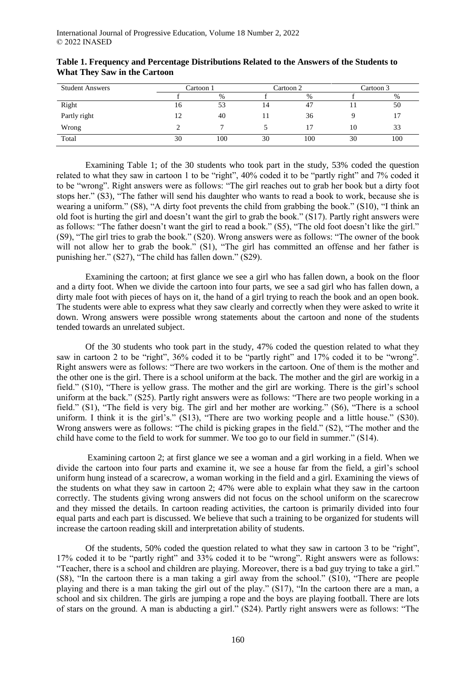| <b>Student Answers</b> | Cartoon 1 |      | Cartoon 2 |      | Cartoon 3 |      |
|------------------------|-----------|------|-----------|------|-----------|------|
|                        |           | $\%$ |           | $\%$ |           | $\%$ |
| Right                  | 16        | 53   | 14        | 47   |           | 50   |
| Partly right           | 12        | 40   |           | 36   |           |      |
| Wrong                  |           |      |           |      | 10        | 33   |
| Total                  | 30        | 100  | 30        | 100  | 30        | 100  |

# **Table 1. Frequency and Percentage Distributions Related to the Answers of the Students to What They Saw in the Cartoon**

Examining Table 1; of the 30 students who took part in the study, 53% coded the question related to what they saw in cartoon 1 to be "right", 40% coded it to be "partly right" and 7% coded it to be "wrong". Right answers were as follows: "The girl reaches out to grab her book but a dirty foot stops her." (S3), "The father will send his daughter who wants to read a book to work, because she is wearing a uniform." (S8), "A dirty foot prevents the child from grabbing the book." (S10), "I think an old foot is hurting the girl and doesn't want the girl to grab the book." (S17). Partly right answers were as follows: "The father doesn't want the girl to read a book." (S5), "The old foot doesn't like the girl." (S9), "The girl tries to grab the book." (S20). Wrong answers were as follows: "The owner of the book will not allow her to grab the book." (S1), "The girl has committed an offense and her father is punishing her." (S27), "The child has fallen down." (S29).

Examining the cartoon; at first glance we see a girl who has fallen down, a book on the floor and a dirty foot. When we divide the cartoon into four parts, we see a sad girl who has fallen down, a dirty male foot with pieces of hays on it, the hand of a girl trying to reach the book and an open book. The students were able to express what they saw clearly and correctly when they were asked to write it down. Wrong answers were possible wrong statements about the cartoon and none of the students tended towards an unrelated subject.

Of the 30 students who took part in the study, 47% coded the question related to what they saw in cartoon 2 to be "right", 36% coded it to be "partly right" and 17% coded it to be "wrong". Right answers were as follows: "There are two workers in the cartoon. One of them is the mother and the other one is the girl. There is a school uniform at the back. The mother and the girl are workig in a field." (S10), "There is yellow grass. The mother and the girl are working. There is the girl's school uniform at the back." (S25). Partly right answers were as follows: "There are two people working in a field." (S1), "The field is very big. The girl and her mother are working." (S6), "There is a school uniform. I think it is the girl's." (S13), "There are two working people and a little house." (S30). Wrong answers were as follows: "The child is picking grapes in the field." (S2), "The mother and the child have come to the field to work for summer. We too go to our field in summer." (S14).

Examining cartoon 2; at first glance we see a woman and a girl working in a field. When we divide the cartoon into four parts and examine it, we see a house far from the field, a girl's school uniform hung instead of a scarecrow, a woman working in the field and a girl. Examining the views of the students on what they saw in cartoon 2; 47% were able to explain what they saw in the cartoon correctly. The students giving wrong answers did not focus on the school uniform on the scarecrow and they missed the details. In cartoon reading activities, the cartoon is primarily divided into four equal parts and each part is discussed. We believe that such a training to be organized for students will increase the cartoon reading skill and interpretation ability of students.

Of the students, 50% coded the question related to what they saw in cartoon 3 to be "right", 17% coded it to be "partly right" and 33% coded it to be "wrong". Right answers were as follows: "Teacher, there is a school and children are playing. Moreover, there is a bad guy trying to take a girl." (S8), "In the cartoon there is a man taking a girl away from the school." (S10), "There are people playing and there is a man taking the girl out of the play." (S17), "In the cartoon there are a man, a school and six children. The girls are jumping a rope and the boys are playing football. There are lots of stars on the ground. A man is abducting a girl." (S24). Partly right answers were as follows: "The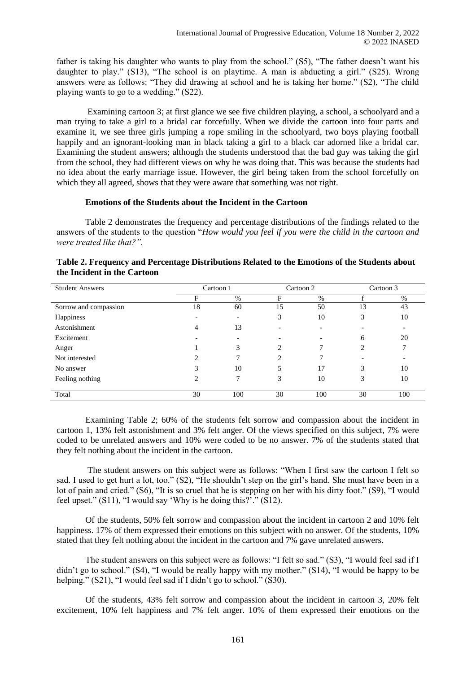father is taking his daughter who wants to play from the school." (S5), "The father doesn't want his daughter to play." (S13), "The school is on playtime. A man is abducting a girl." (S25). Wrong answers were as follows: "They did drawing at school and he is taking her home." (S2), "The child playing wants to go to a wedding." (S22).

Examining cartoon 3; at first glance we see five children playing, a school, a schoolyard and a man trying to take a girl to a bridal car forcefully. When we divide the cartoon into four parts and examine it, we see three girls jumping a rope smiling in the schoolyard, two boys playing football happily and an ignorant-looking man in black taking a girl to a black car adorned like a bridal car. Examining the student answers; although the students understood that the bad guy was taking the girl from the school, they had different views on why he was doing that. This was because the students had no idea about the early marriage issue. However, the girl being taken from the school forcefully on which they all agreed, shows that they were aware that something was not right.

### **Emotions of the Students about the Incident in the Cartoon**

Table 2 demonstrates the frequency and percentage distributions of the findings related to the answers of the students to the question "*How would you feel if you were the child in the cartoon and were treated like that?".*

| <b>Student Answers</b> | Cartoon 1<br>Cartoon 2 |                          | Cartoon 3 |     |    |                          |
|------------------------|------------------------|--------------------------|-----------|-----|----|--------------------------|
|                        | F                      | $\%$                     | F         | %   |    | %                        |
| Sorrow and compassion  | 18                     | 60                       | 15        | 50  | 13 | 43                       |
| Happiness              |                        | $\overline{\phantom{0}}$ | 3         | 10  | 3  | 10                       |
| Astonishment           | 4                      | 13                       | -         |     |    | $\overline{\phantom{a}}$ |
| Excitement             |                        |                          |           |     | 6  | 20                       |
| Anger                  |                        | 3                        | ↑         |     | 2  | 7                        |
| Not interested         |                        |                          | ↑         |     |    |                          |
| No answer              | 3                      | 10                       | 5         | 17  | 3  | 10                       |
| Feeling nothing        | ↑                      | 7                        | 3         | 10  | 3  | 10                       |
|                        |                        |                          |           |     |    |                          |
| Total                  | 30                     | 100                      | 30        | 100 | 30 | 100                      |

| Table 2. Frequency and Percentage Distributions Related to the Emotions of the Students about |  |
|-----------------------------------------------------------------------------------------------|--|
| the Incident in the Cartoon                                                                   |  |

Examining Table 2; 60% of the students felt sorrow and compassion about the incident in cartoon 1, 13% felt astonishment and 3% felt anger. Of the views specified on this subject, 7% were coded to be unrelated answers and 10% were coded to be no answer. 7% of the students stated that they felt nothing about the incident in the cartoon.

The student answers on this subject were as follows: "When I first saw the cartoon I felt so sad. I used to get hurt a lot, too." (S2), "He shouldn't step on the girl's hand. She must have been in a lot of pain and cried." (S6), "It is so cruel that he is stepping on her with his dirty foot." (S9), "I would feel upset." (S11), "I would say 'Why is he doing this?'." (S12).

Of the students, 50% felt sorrow and compassion about the incident in cartoon 2 and 10% felt happiness. 17% of them expressed their emotions on this subject with no answer. Of the students, 10% stated that they felt nothing about the incident in the cartoon and 7% gave unrelated answers.

The student answers on this subject were as follows: "I felt so sad." (S3), "I would feel sad if I didn't go to school." (S4), "I would be really happy with my mother." (S14), "I would be happy to be helping." (S21), "I would feel sad if I didn't go to school." (S30).

Of the students, 43% felt sorrow and compassion about the incident in cartoon 3, 20% felt excitement, 10% felt happiness and 7% felt anger. 10% of them expressed their emotions on the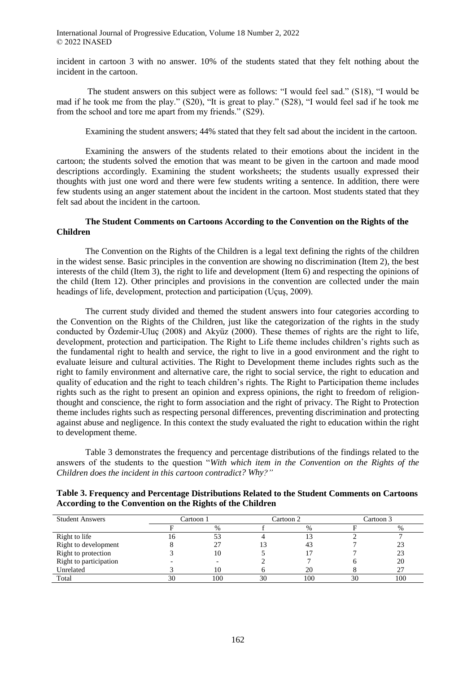incident in cartoon 3 with no answer. 10% of the students stated that they felt nothing about the incident in the cartoon.

The student answers on this subject were as follows: "I would feel sad." (S18), "I would be mad if he took me from the play." (S20), "It is great to play." (S28), "I would feel sad if he took me from the school and tore me apart from my friends." (S29).

Examining the student answers; 44% stated that they felt sad about the incident in the cartoon.

Examining the answers of the students related to their emotions about the incident in the cartoon; the students solved the emotion that was meant to be given in the cartoon and made mood descriptions accordingly. Examining the student worksheets; the students usually expressed their thoughts with just one word and there were few students writing a sentence. In addition, there were few students using an anger statement about the incident in the cartoon. Most students stated that they felt sad about the incident in the cartoon.

### **The Student Comments on Cartoons According to the Convention on the Rights of the Children**

The Convention on the Rights of the Children is a legal text defining the rights of the children in the widest sense. Basic principles in the convention are showing no discrimination (Item 2), the best interests of the child (Item 3), the right to life and development (Item 6) and respecting the opinions of the child (Item 12). Other principles and provisions in the convention are collected under the main headings of life, development, protection and participation (Uçuş, 2009).

The current study divided and themed the student answers into four categories according to the Convention on the Rights of the Children, just like the categorization of the rights in the study conducted by Özdemir-Uluç (2008) and Akyüz (2000). These themes of rights are the right to life, development, protection and participation. The Right to Life theme includes children's rights such as the fundamental right to health and service, the right to live in a good environment and the right to evaluate leisure and cultural activities. The Right to Development theme includes rights such as the right to family environment and alternative care, the right to social service, the right to education and quality of education and the right to teach children's rights. The Right to Participation theme includes rights such as the right to present an opinion and express opinions, the right to freedom of religionthought and conscience, the right to form association and the right of privacy. The Right to Protection theme includes rights such as respecting personal differences, preventing discrimination and protecting against abuse and negligence. In this context the study evaluated the right to education within the right to development theme.

Table 3 demonstrates the frequency and percentage distributions of the findings related to the answers of the students to the question "*With which item in the Convention on the Rights of the Children does the incident in this cartoon contradict? Why?"* 

| <b>Student Answers</b> | Cartoon 1 |      | Cartoon 2 |      | Cartoon 3 |     |
|------------------------|-----------|------|-----------|------|-----------|-----|
|                        |           | $\%$ |           | $\%$ |           | %   |
| Right to life          | LO.       | 53   |           |      |           |     |
| Right to development   |           |      | 13        | 43   |           | 23  |
| Right to protection    |           | 10   |           |      |           | 23  |
| Right to participation |           |      |           |      |           | 20  |
| Unrelated              |           | 10   |           | 20   |           | 27  |
| Total                  | 30        | 100  | 30        | 100  | 30        | 100 |

**Table 3. Frequency and Percentage Distributions Related to the Student Comments on Cartoons According to the Convention on the Rights of the Children**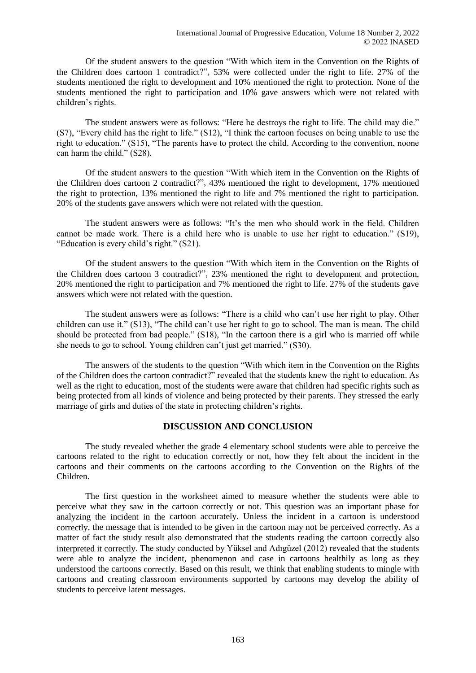Of the student answers to the question "With which item in the Convention on the Rights of the Children does cartoon 1 contradict?", 53% were collected under the right to life. 27% of the students mentioned the right to development and 10% mentioned the right to protection. None of the students mentioned the right to participation and 10% gave answers which were not related with children's rights.

The student answers were as follows: "Here he destroys the right to life. The child may die." (S7), "Every child has the right to life." (S12), "I think the cartoon focuses on being unable to use the right to education." (S15), "The parents have to protect the child. According to the convention, noone can harm the child." (S28).

Of the student answers to the question "With which item in the Convention on the Rights of the Children does cartoon 2 contradict?", 43% mentioned the right to development, 17% mentioned the right to protection, 13% mentioned the right to life and 7% mentioned the right to participation. 20% of the students gave answers which were not related with the question.

The student answers were as follows: "It's the men who should work in the field. Children cannot be made work. There is a child here who is unable to use her right to education." (S19), "Education is every child's right." (S21).

Of the student answers to the question "With which item in the Convention on the Rights of the Children does cartoon 3 contradict?", 23% mentioned the right to development and protection, 20% mentioned the right to participation and 7% mentioned the right to life. 27% of the students gave answers which were not related with the question.

The student answers were as follows: "There is a child who can't use her right to play. Other children can use it." (S13), "The child can't use her right to go to school. The man is mean. The child should be protected from bad people." (S18), "In the cartoon there is a girl who is married off while she needs to go to school. Young children can't just get married." (S30).

The answers of the students to the question "With which item in the Convention on the Rights of the Children does the cartoon contradict?" revealed that the students knew the right to education. As well as the right to education, most of the students were aware that children had specific rights such as being protected from all kinds of violence and being protected by their parents. They stressed the early marriage of girls and duties of the state in protecting children's rights.

## **DISCUSSION AND CONCLUSION**

The study revealed whether the grade 4 elementary school students were able to perceive the cartoons related to the right to education correctly or not, how they felt about the incident in the cartoons and their comments on the cartoons according to the Convention on the Rights of the Children.

The first question in the worksheet aimed to measure whether the students were able to perceive what they saw in the cartoon correctly or not. This question was an important phase for analyzing the incident in the cartoon accurately. Unless the incident in a cartoon is understood correctly, the message that is intended to be given in the cartoon may not be perceived correctly. As a matter of fact the study result also demonstrated that the students reading the cartoon correctly also interpreted it correctly. The study conducted by Yüksel and Adıgüzel (2012) revealed that the students were able to analyze the incident, phenomenon and case in cartoons healthily as long as they understood the cartoons correctly. Based on this result, we think that enabling students to mingle with cartoons and creating classroom environments supported by cartoons may develop the ability of students to perceive latent messages.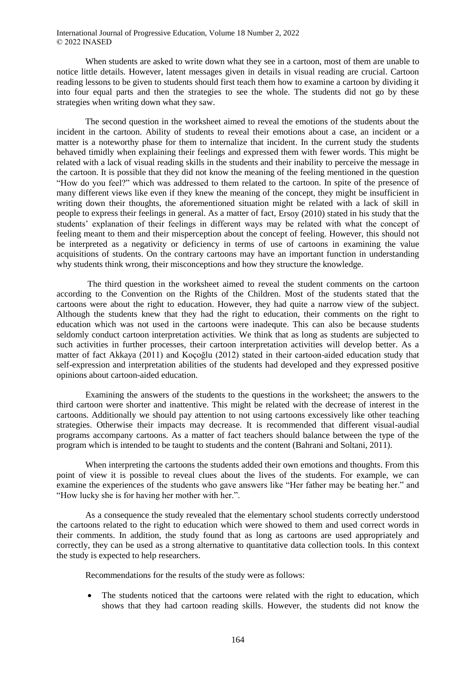When students are asked to write down what they see in a cartoon, most of them are unable to notice little details. However, latent messages given in details in visual reading are crucial. Cartoon reading lessons to be given to students should first teach them how to examine a cartoon by dividing it into four equal parts and then the strategies to see the whole. The students did not go by these strategies when writing down what they saw.

The second question in the worksheet aimed to reveal the emotions of the students about the incident in the cartoon. Ability of students to reveal their emotions about a case, an incident or a matter is a noteworthy phase for them to internalize that incident. In the current study the students behaved timidly when explaining their feelings and expressed them with fewer words. This might be related with a lack of visual reading skills in the students and their inability to perceive the message in the cartoon. It is possible that they did not know the meaning of the feeling mentioned in the question "How do you feel?" which was addressed to them related to the cartoon. In spite of the presence of many different views like even if they knew the meaning of the concept, they might be insufficient in writing down their thoughts, the aforementioned situation might be related with a lack of skill in people to express their feelings in general. As a matter of fact, Ersoy (2010) stated in his study that the students' explanation of their feelings in different ways may be related with what the concept of feeling meant to them and their misperception about the concept of feeling. However, this should not be interpreted as a negativity or deficiency in terms of use of cartoons in examining the value acquisitions of students. On the contrary cartoons may have an important function in understanding why students think wrong, their misconceptions and how they structure the knowledge.

The third question in the worksheet aimed to reveal the student comments on the cartoon according to the Convention on the Rights of the Children. Most of the students stated that the cartoons were about the right to education. However, they had quite a narrow view of the subject. Although the students knew that they had the right to education, their comments on the right to education which was not used in the cartoons were inadequte. This can also be because students seldomly conduct cartoon interpretation activities. We think that as long as students are subjected to such activities in further processes, their cartoon interpretation activities will develop better. As a matter of fact Akkaya (2011) and Koçoğlu (2012) stated in their cartoon-aided education study that self-expression and interpretation abilities of the students had developed and they expressed positive opinions about cartoon-aided education.

Examining the answers of the students to the questions in the worksheet; the answers to the third cartoon were shorter and inattentive. This might be related with the decrease of interest in the cartoons. Additionally we should pay attention to not using cartoons excessively like other teaching strategies. Otherwise their impacts may decrease. It is recommended that different visual-audial programs accompany cartoons. As a matter of fact teachers should balance between the type of the program which is intended to be taught to students and the content (Bahrani and Soltani, 2011).

When interpreting the cartoons the students added their own emotions and thoughts. From this point of view it is possible to reveal clues about the lives of the students. For example, we can examine the experiences of the students who gave answers like "Her father may be beating her." and "How lucky she is for having her mother with her.".

As a consequence the study revealed that the elementary school students correctly understood the cartoons related to the right to education which were showed to them and used correct words in their comments. In addition, the study found that as long as cartoons are used appropriately and correctly, they can be used as a strong alternative to quantitative data collection tools. In this context the study is expected to help researchers.

Recommendations for the results of the study were as follows:

 The students noticed that the cartoons were related with the right to education, which shows that they had cartoon reading skills. However, the students did not know the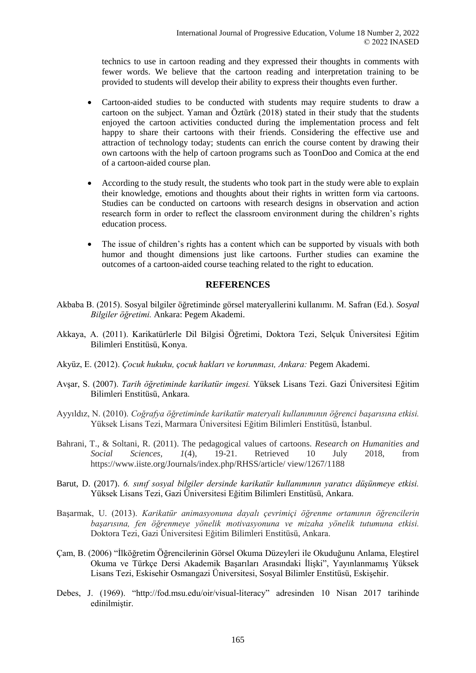technics to use in cartoon reading and they expressed their thoughts in comments with fewer words. We believe that the cartoon reading and interpretation training to be provided to students will develop their ability to express their thoughts even further.

- Cartoon-aided studies to be conducted with students may require students to draw a cartoon on the subject. Yaman and Öztürk (2018) stated in their study that the students enjoyed the cartoon activities conducted during the implementation process and felt happy to share their cartoons with their friends. Considering the effective use and attraction of technology today; students can enrich the course content by drawing their own cartoons with the help of cartoon programs such as ToonDoo and Comica at the end of a cartoon-aided course plan.
- According to the study result, the students who took part in the study were able to explain their knowledge, emotions and thoughts about their rights in written form via cartoons. Studies can be conducted on cartoons with research designs in observation and action research form in order to reflect the classroom environment during the children's rights education process.
- The issue of children's rights has a content which can be supported by visuals with both humor and thought dimensions just like cartoons. Further studies can examine the outcomes of a cartoon-aided course teaching related to the right to education.

### **REFERENCES**

- Akbaba B. (2015). Sosyal bilgiler öğretiminde görsel materyallerini kullanımı. M. Safran (Ed.). *Sosyal Bilgiler öğretimi.* Ankara: Pegem Akademi.
- Akkaya, A. (2011). Karikatürlerle Dil Bilgisi Öğretimi, Doktora Tezi, Selçuk Üniversitesi Eğitim Bilimleri Enstitüsü, Konya.
- Akyüz, E. (2012). *Çocuk hukuku, çocuk hakları ve korunması, Ankara:* Pegem Akademi.
- Avşar, S. (2007). *Tarih öğretiminde karikatür imgesi.* Yüksek Lisans Tezi. Gazi Üniversitesi Eğitim Bilimleri Enstitüsü, Ankara.
- Ayyıldız, N. (2010). *Coğrafya öğretiminde karikatür materyali kullanımının öğrenci başarısına etkisi.*  Yüksek Lisans Tezi, Marmara Üniversitesi Eğitim Bilimleri Enstitüsü, İstanbul.
- Bahrani, T., & Soltani, R. (2011). The pedagogical values of cartoons. *Research on Humanities and Social Sciences, 1*(4), 19-21. Retrieved 10 July 2018, from https://www.iiste.org/Journals/index.php/RHSS/article/ view/1267/1188
- Barut, D. (2017). *6. sınıf sosyal bilgiler dersinde karikatür kullanımının yaratıcı düşünmeye etkisi.*  Yüksek Lisans Tezi, Gazi Üniversitesi Eğitim Bilimleri Enstitüsü, Ankara.
- Başarmak, U. (2013). *Karikatür animasyonuna dayalı çevrimiçi öğrenme ortamının öğrencilerin başarısına, fen öğrenmeye yönelik motivasyonuna ve mizaha yönelik tutumuna etkisi.*  Doktora Tezi, Gazi Üniversitesi Eğitim Bilimleri Enstitüsü, Ankara.
- Çam, B. (2006) "İlköğretim Öğrencilerinin Görsel Okuma Düzeyleri ile Okuduğunu Anlama, Eleştirel Okuma ve Türkçe Dersi Akademik Başarıları Arasındaki İlişki", Yayınlanmamış Yüksek Lisans Tezi, Eskisehir Osmangazi Üniversitesi, Sosyal Bilimler Enstitüsü, Eskişehir.
- Debes, J. (1969). "http://fod.msu.edu/oir/visual-literacy" adresinden 10 Nisan 2017 tarihinde edinilmiştir.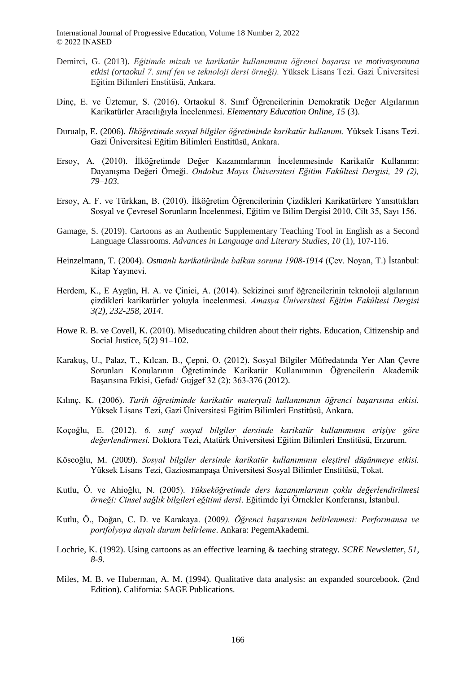- Demirci, G. (2013). *Eğitimde mizah ve karikatür kullanımının öğrenci başarısı ve motivasyonuna etkisi (ortaokul 7. sınıf fen ve teknoloji dersi örneği).* Yüksek Lisans Tezi. Gazi Üniversitesi Eğitim Bilimleri Enstitüsü, Ankara.
- Dinç, E. ve Üztemur, S. (2016). Ortaokul 8. Sınıf Öğrencilerinin Demokratik Değer Algılarının Karikatürler Aracılığıyla İncelenmesi. *Elementary Education Online, 15* (3).
- Durualp, E. (2006). *İlköğretimde sosyal bilgiler öğretiminde karikatür kullanımı.* Yüksek Lisans Tezi. Gazi Üniversitesi Eğitim Bilimleri Enstitüsü, Ankara.
- Ersoy, A. (2010). İlköğretimde Değer Kazanımlarının İncelenmesinde Karikatür Kullanımı: Dayanışma Değeri Örneği. *Ondokuz Mayıs Üniversitesi Eğitim Fakültesi Dergisi, 29 (2), 79–103.*
- Ersoy, A. F. ve Türkkan, B. (2010). İlköğretim Öğrencilerinin Çizdikleri Karikatürlere Yansıttıkları Sosyal ve Çevresel Sorunların İncelenmesi, Eğitim ve Bilim Dergisi 2010, Cilt 35, Sayı 156.
- Gamage, S. (2019). Cartoons as an Authentic Supplementary Teaching Tool in English as a Second Language Classrooms. *Advances in Language and Literary Studies*, *10* (1), 107-116.
- Heinzelmann, T. (2004). *Osmanlı karikatüründe balkan sorunu 1908-1914* (Çev. Noyan, T.) İstanbul: Kitap Yayınevi.
- Herdem, K., E Aygün, H. A. ve Çinici, A. (2014). Sekizinci sınıf öğrencilerinin teknoloji algılarının çizdikleri karikatürler yoluyla incelenmesi. *Amasya Üniversitesi Eğitim Fakültesi Dergisi 3(2), 232-258, 2014*.
- Howe R. B. ve Covell, K. (2010). Miseducating children about their rights. Education, Citizenship and Social Justice, 5(2) 91–102.
- Karakuş, U., Palaz, T., Kılcan, B., Çepni, O. (2012). Sosyal Bilgiler Müfredatında Yer Alan Çevre Sorunları Konularının Öğretiminde Karikatür Kullanımının Öğrencilerin Akademik Başarısına Etkisi, Gefad/ Gujgef 32 (2): 363-376 (2012).
- Kılınç, K. (2006). *Tarih öğretiminde karikatür materyali kullanımının öğrenci başarısına etkisi.* Yüksek Lisans Tezi, Gazi Üniversitesi Eğitim Bilimleri Enstitüsü, Ankara.
- Koçoğlu, E. (2012). *6. sınıf sosyal bilgiler dersinde karikatür kullanımının erişiye göre değerlendirmesi.* Doktora Tezi, Atatürk Üniversitesi Eğitim Bilimleri Enstitüsü, Erzurum.
- Köseoğlu, M. (2009). *Sosyal bilgiler dersinde karikatür kullanımının eleştirel düşünmeye etkisi.*  Yüksek Lisans Tezi, Gaziosmanpaşa Üniversitesi Sosyal Bilimler Enstitüsü, Tokat.
- Kutlu, Ö. ve Ahioğlu, N. (2005). *Yükseköğretimde ders kazanımlarının çoklu değerlendirilmesi örneği: Cinsel sağlık bilgileri eğitimi dersi*. Eğitimde İyi Örnekler Konferansı, İstanbul.
- Kutlu, Ö., Doğan, C. D. ve Karakaya. (2009*). Öğrenci başarısının belirlenmesi: Performansa ve portfolyoya dayalı durum belirleme*. Ankara: PegemAkademi.
- Lochrie, K. (1992). Using cartoons as an effective learning & taeching strategy. *SCRE Newsletter, 51, 8-9.*
- Miles, M. B. ve Huberman, A. M. (1994). Qualitative data analysis: an expanded sourcebook. (2nd Edition). California: SAGE Publications.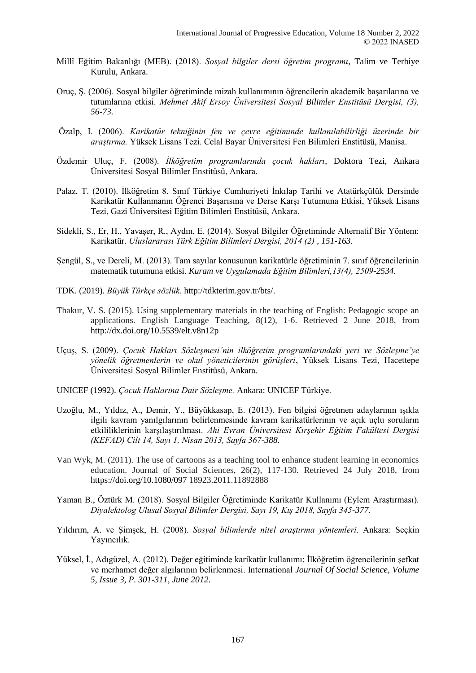- Millî Eğitim Bakanlığı (MEB). (2018). *Sosyal bilgiler dersi öğretim programı*, Talim ve Terbiye Kurulu, Ankara.
- Oruç, Ş. (2006). Sosyal bilgiler öğretiminde mizah kullanımının öğrencilerin akademik başarılarına ve tutumlarına etkisi. *Mehmet Akif Ersoy Üniversitesi Sosyal Bilimler Enstitüsü Dergisi, (3), 56-73.*
- Özalp, I. (2006). *Karikatür tekniğinin fen ve çevre eğitiminde kullanılabilirliği üzerinde bir araştırma.* Yüksek Lisans Tezi. Celal Bayar Üniversitesi Fen Bilimleri Enstitüsü, Manisa.
- Özdemir Uluç, F. (2008). *İlköğretim programlarında çocuk hakları*, Doktora Tezi, Ankara Üniversitesi Sosyal Bilimler Enstitüsü, Ankara.
- Palaz, T. (2010). İlköğretim 8. Sınıf Türkiye Cumhuriyeti İnkılap Tarihi ve Atatürkçülük Dersinde Karikatür Kullanmanın Öğrenci Başarısına ve Derse Karşı Tutumuna Etkisi, Yüksek Lisans Tezi, Gazi Üniversitesi Eğitim Bilimleri Enstitüsü, Ankara.
- Sidekli, S., Er, H., Yavaşer, R., Aydın, E. (2014). Sosyal Bilgiler Öğretiminde Alternatif Bir Yöntem: Karikatür. *Uluslararası Türk Eğitim Bilimleri Dergisi, 2014 (2) , 151-163.*
- Şengül, S., ve Dereli, M. (2013). Tam sayılar konusunun karikatürle öğretiminin 7. sınıf öğrencilerinin matematik tutumuna etkisi. *Kuram ve Uygulamada Eğitim Bilimleri,13(4), 2509-2534.*
- TDK. (2019). *Büyük Türkçe sözlük.* http://tdkterim.gov.tr/bts/.
- Thakur, V. S. (2015). Using supplementary materials in the teaching of English: Pedagogic scope an applications. English Language Teaching, 8(12), 1-6. Retrieved 2 June 2018, from http://dx.doi.org/10.5539/elt.v8n12p
- Uçuş, S. (2009). *Çocuk Hakları Sözleşmesi'nin ilköğretim programlarındaki yeri ve Sözleşme'ye yönelik öğretmenlerin ve okul yöneticilerinin görüşleri*, Yüksek Lisans Tezi, Hacettepe Üniversitesi Sosyal Bilimler Enstitüsü, Ankara.
- UNICEF (1992). *Çocuk Haklarına Dair Sözleşme.* Ankara: UNICEF Türkiye.
- Uzoğlu, M., Yıldız, A., Demir, Y., Büyükkasap, E. (2013). Fen bilgisi öğretmen adaylarının ışıkla ilgili kavram yanılgılarının belirlenmesinde kavram karikatürlerinin ve açık uçlu soruların etkililiklerinin karşılaştırılması. *Ahi Evran Üniversitesi Kırşehir Eğitim Fakültesi Dergisi (KEFAD) Cilt 14, Sayı 1, Nisan 2013, Sayfa 367-388.*
- Van Wyk, M. (2011). The use of cartoons as a teaching tool to enhance student learning in economics education. Journal of Social Sciences, 26(2), 117-130. Retrieved 24 July 2018, from https://doi.org/10.1080/097 18923.2011.11892888
- Yaman B., Öztürk M. (2018). Sosyal Bilgiler Öğretiminde Karikatür Kullanımı (Eylem Araştırması). *Diyalektolog Ulusal Sosyal Bilimler Dergisi, Sayı 19, Kış 2018, Sayfa 345-377.*
- Yıldırım, A. ve Şimşek, H. (2008). *Sosyal bilimlerde nitel araştırma yöntemleri*. Ankara: Seçkin Yayıncılık.
- Yüksel, İ., Adıgüzel, A. (2012). Değer eğitiminde karikatür kullanımı: İlköğretim öğrencilerinin şefkat ve merhamet değer algılarının belirlenmesi. International *Journal Of Social Science, Volume 5, Issue 3, P. 301-311, June 2012*.